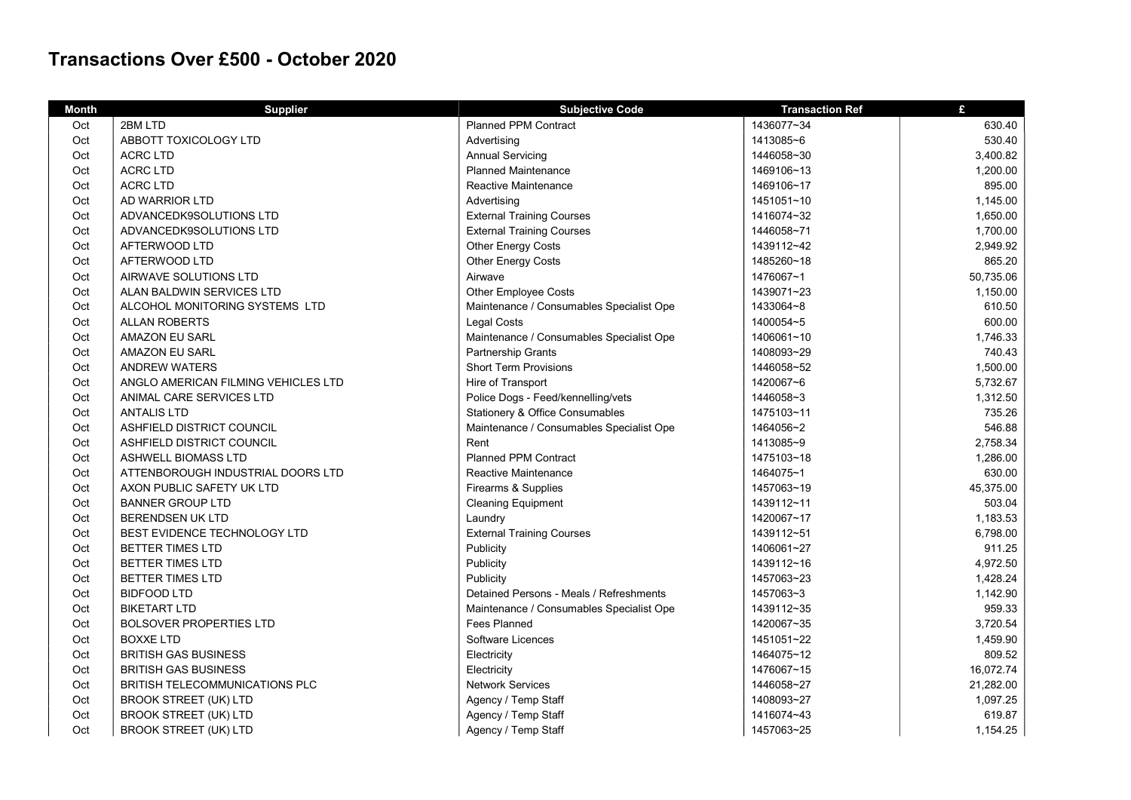## Transactions Over £500 - October 2020

| <b>Month</b> | <b>Supplier</b>                     | <b>Subjective Code</b>                     | <b>Transaction Ref</b> | £         |
|--------------|-------------------------------------|--------------------------------------------|------------------------|-----------|
| Oct          | 2BM LTD                             | <b>Planned PPM Contract</b>                | 1436077~34             | 630.40    |
| Oct          | ABBOTT TOXICOLOGY LTD               | Advertising                                | 1413085~6              | 530.40    |
| Oct          | <b>ACRC LTD</b>                     | <b>Annual Servicing</b>                    | 1446058~30             | 3,400.82  |
| Oct          | <b>ACRC LTD</b>                     | <b>Planned Maintenance</b>                 | 1469106~13             | 1,200.00  |
| Oct          | <b>ACRC LTD</b>                     | Reactive Maintenance                       | 1469106~17             | 895.00    |
| Oct          | AD WARRIOR LTD                      | Advertising                                | 1451051~10             | 1,145.00  |
| Oct          | ADVANCEDK9SOLUTIONS LTD             | <b>External Training Courses</b>           | 1416074~32             | 1,650.00  |
| Oct          | ADVANCEDK9SOLUTIONS LTD             | <b>External Training Courses</b>           | 1446058~71             | 1,700.00  |
| Oct          | AFTERWOOD LTD                       | Other Energy Costs                         | 1439112~42             | 2,949.92  |
| Oct          | AFTERWOOD LTD                       | Other Energy Costs                         | 1485260~18             | 865.20    |
| Oct          | AIRWAVE SOLUTIONS LTD               | Airwave                                    | 1476067~1              | 50,735.06 |
| Oct          | ALAN BALDWIN SERVICES LTD           | Other Employee Costs                       | 1439071~23             | 1,150.00  |
| Oct          | ALCOHOL MONITORING SYSTEMS LTD      | Maintenance / Consumables Specialist Ope   | 1433064~8              | 610.50    |
| Oct          | <b>ALLAN ROBERTS</b>                | <b>Legal Costs</b>                         | 1400054~5              | 600.00    |
| Oct          | <b>AMAZON EU SARL</b>               | Maintenance / Consumables Specialist Ope   | 1406061~10             | 1,746.33  |
| Oct          | AMAZON EU SARL                      | Partnership Grants                         | 1408093~29             | 740.43    |
| Oct          | <b>ANDREW WATERS</b>                | <b>Short Term Provisions</b>               | 1446058~52             | 1,500.00  |
| Oct          | ANGLO AMERICAN FILMING VEHICLES LTD | Hire of Transport                          | 1420067~6              | 5,732.67  |
| Oct          | ANIMAL CARE SERVICES LTD            | Police Dogs - Feed/kennelling/vets         | 1446058~3              | 1,312.50  |
| Oct          | <b>ANTALIS LTD</b>                  | <b>Stationery &amp; Office Consumables</b> | 1475103~11             | 735.26    |
| Oct          | ASHFIELD DISTRICT COUNCIL           | Maintenance / Consumables Specialist Ope   | 1464056~2              | 546.88    |
| Oct          | ASHFIELD DISTRICT COUNCIL           | Rent                                       | 1413085~9              | 2,758.34  |
| Oct          | ASHWELL BIOMASS LTD                 | <b>Planned PPM Contract</b>                | 1475103~18             | 1,286.00  |
| Oct          | ATTENBOROUGH INDUSTRIAL DOORS LTD   | Reactive Maintenance                       | 1464075~1              | 630.00    |
| Oct          | AXON PUBLIC SAFETY UK LTD           | Firearms & Supplies                        | 1457063~19             | 45,375.00 |
| Oct          | <b>BANNER GROUP LTD</b>             | <b>Cleaning Equipment</b>                  | 1439112~11             | 503.04    |
| Oct          | <b>BERENDSEN UK LTD</b>             | Laundry                                    | 1420067~17             | 1,183.53  |
| Oct          | BEST EVIDENCE TECHNOLOGY LTD        | <b>External Training Courses</b>           | 1439112~51             | 6,798.00  |
| Oct          | BETTER TIMES LTD                    | Publicity                                  | 1406061~27             | 911.25    |
| Oct          | <b>BETTER TIMES LTD</b>             | Publicity                                  | 1439112~16             | 4,972.50  |
| Oct          | <b>BETTER TIMES LTD</b>             | Publicity                                  | 1457063~23             | 1,428.24  |
| Oct          | <b>BIDFOOD LTD</b>                  | Detained Persons - Meals / Refreshments    | 1457063~3              | 1,142.90  |
| Oct          | <b>BIKETART LTD</b>                 | Maintenance / Consumables Specialist Ope   | 1439112~35             | 959.33    |
| Oct          | <b>BOLSOVER PROPERTIES LTD</b>      | <b>Fees Planned</b>                        | 1420067~35             | 3,720.54  |
| Oct          | <b>BOXXE LTD</b>                    | Software Licences                          | 1451051~22             | 1,459.90  |
| Oct          | <b>BRITISH GAS BUSINESS</b>         | Electricity                                | 1464075~12             | 809.52    |
| Oct          | <b>BRITISH GAS BUSINESS</b>         | Electricity                                | 1476067~15             | 16,072.74 |
| Oct          | BRITISH TELECOMMUNICATIONS PLC      | <b>Network Services</b>                    | 1446058~27             | 21,282.00 |
| Oct          | <b>BROOK STREET (UK) LTD</b>        | Agency / Temp Staff                        | 1408093~27             | 1,097.25  |
| Oct          | <b>BROOK STREET (UK) LTD</b>        | Agency / Temp Staff                        | 1416074~43             | 619.87    |
| Oct          | <b>BROOK STREET (UK) LTD</b>        | Agency / Temp Staff                        | 1457063~25             | 1,154.25  |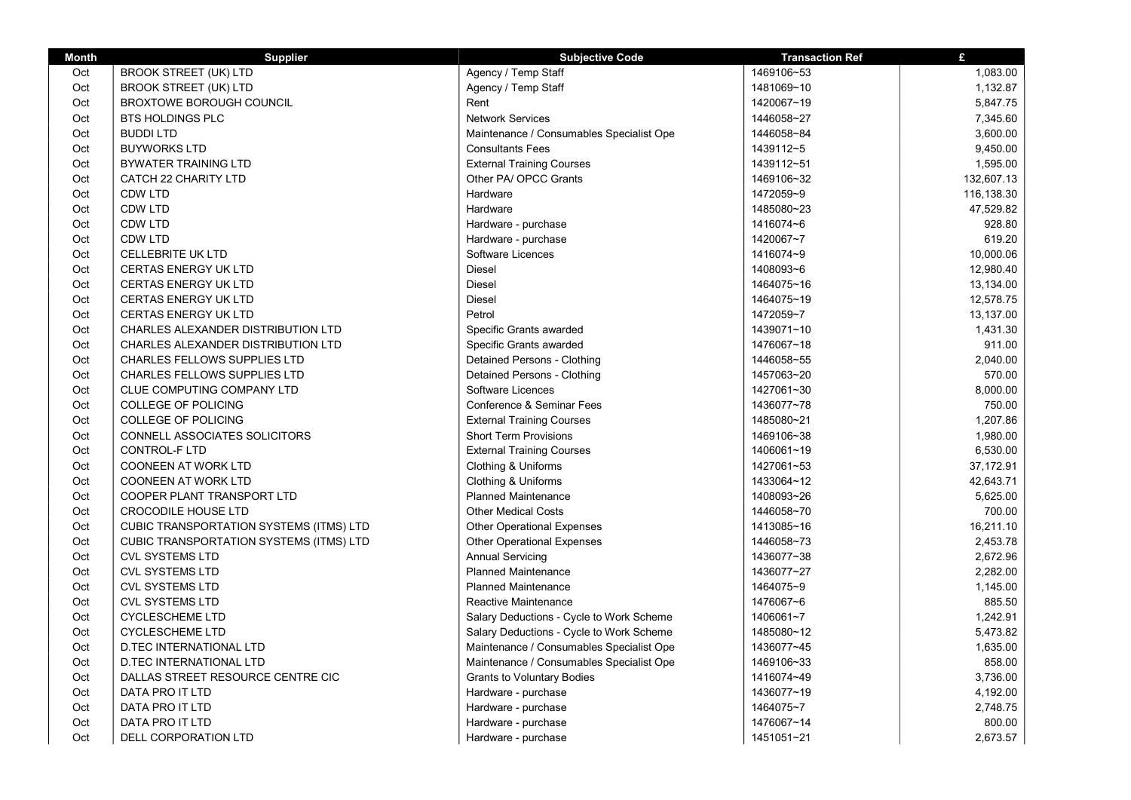| <b>Month</b> | <b>Supplier</b>                                | <b>Subjective Code</b>                   | <b>Transaction Ref</b> | £          |
|--------------|------------------------------------------------|------------------------------------------|------------------------|------------|
| Oct          | <b>BROOK STREET (UK) LTD</b>                   | Agency / Temp Staff                      | 1469106~53             | 1,083.00   |
| Oct          | <b>BROOK STREET (UK) LTD</b>                   | Agency / Temp Staff                      | 1481069~10             | 1,132.87   |
| Oct          | <b>BROXTOWE BOROUGH COUNCIL</b>                | Rent                                     | 1420067~19             | 5,847.75   |
| Oct          | <b>BTS HOLDINGS PLC</b>                        | <b>Network Services</b>                  | 1446058~27             | 7,345.60   |
| Oct          | <b>BUDDILTD</b>                                | Maintenance / Consumables Specialist Ope | 1446058~84             | 3,600.00   |
| Oct          | <b>BUYWORKS LTD</b>                            | <b>Consultants Fees</b>                  | 1439112~5              | 9,450.00   |
| Oct          | <b>BYWATER TRAINING LTD</b>                    | <b>External Training Courses</b>         | 1439112~51             | 1,595.00   |
| Oct          | CATCH 22 CHARITY LTD                           | Other PA/ OPCC Grants                    | 1469106~32             | 132,607.13 |
| Oct          | <b>CDW LTD</b>                                 | Hardware                                 | 1472059~9              | 116,138.30 |
| Oct          | <b>CDW LTD</b>                                 | Hardware                                 | 1485080~23             | 47,529.82  |
| Oct          | <b>CDW LTD</b>                                 | Hardware - purchase                      | 1416074~6              | 928.80     |
| Oct          | <b>CDW LTD</b>                                 | Hardware - purchase                      | 1420067~7              | 619.20     |
| Oct          | <b>CELLEBRITE UK LTD</b>                       | Software Licences                        | 1416074~9              | 10,000.06  |
| Oct          | <b>CERTAS ENERGY UK LTD</b>                    | <b>Diesel</b>                            | 1408093~6              | 12,980.40  |
| Oct          | <b>CERTAS ENERGY UK LTD</b>                    | <b>Diesel</b>                            | 1464075~16             | 13,134.00  |
| Oct          | <b>CERTAS ENERGY UK LTD</b>                    | Diesel                                   | 1464075~19             | 12,578.75  |
| Oct          | <b>CERTAS ENERGY UK LTD</b>                    | Petrol                                   | 1472059~7              | 13,137.00  |
| Oct          | CHARLES ALEXANDER DISTRIBUTION LTD             | Specific Grants awarded                  | 1439071~10             | 1,431.30   |
| Oct          | CHARLES ALEXANDER DISTRIBUTION LTD             | Specific Grants awarded                  | 1476067~18             | 911.00     |
| Oct          | <b>CHARLES FELLOWS SUPPLIES LTD</b>            | Detained Persons - Clothing              | 1446058~55             | 2,040.00   |
| Oct          | CHARLES FELLOWS SUPPLIES LTD                   | Detained Persons - Clothing              | 1457063~20             | 570.00     |
| Oct          | CLUE COMPUTING COMPANY LTD                     | Software Licences                        | 1427061~30             | 8,000.00   |
| Oct          | COLLEGE OF POLICING                            | Conference & Seminar Fees                | 1436077~78             | 750.00     |
| Oct          | <b>COLLEGE OF POLICING</b>                     | <b>External Training Courses</b>         | 1485080~21             | 1,207.86   |
| Oct          | CONNELL ASSOCIATES SOLICITORS                  | <b>Short Term Provisions</b>             | 1469106~38             | 1,980.00   |
| Oct          | CONTROL-F LTD                                  | <b>External Training Courses</b>         | 1406061~19             | 6,530.00   |
| Oct          | <b>COONEEN AT WORK LTD</b>                     | Clothing & Uniforms                      | 1427061~53             | 37,172.91  |
| Oct          | <b>COONEEN AT WORK LTD</b>                     | Clothing & Uniforms                      | 1433064~12             | 42,643.71  |
| Oct          | COOPER PLANT TRANSPORT LTD                     | <b>Planned Maintenance</b>               | 1408093~26             | 5,625.00   |
| Oct          | <b>CROCODILE HOUSE LTD</b>                     | <b>Other Medical Costs</b>               | 1446058~70             | 700.00     |
| Oct          | <b>CUBIC TRANSPORTATION SYSTEMS (ITMS) LTD</b> | <b>Other Operational Expenses</b>        | 1413085~16             | 16,211.10  |
| Oct          | CUBIC TRANSPORTATION SYSTEMS (ITMS) LTD        | <b>Other Operational Expenses</b>        | 1446058~73             | 2,453.78   |
| Oct          | <b>CVL SYSTEMS LTD</b>                         | <b>Annual Servicing</b>                  | 1436077~38             | 2,672.96   |
| Oct          | <b>CVL SYSTEMS LTD</b>                         | <b>Planned Maintenance</b>               | 1436077~27             | 2,282.00   |
| Oct          | <b>CVL SYSTEMS LTD</b>                         | <b>Planned Maintenance</b>               | 1464075~9              | 1,145.00   |
| Oct          | <b>CVL SYSTEMS LTD</b>                         | <b>Reactive Maintenance</b>              | 1476067~6              | 885.50     |
| Oct          | <b>CYCLESCHEME LTD</b>                         | Salary Deductions - Cycle to Work Scheme | 1406061~7              | 1,242.91   |
| Oct          | <b>CYCLESCHEME LTD</b>                         | Salary Deductions - Cycle to Work Scheme | 1485080~12             | 5,473.82   |
| Oct          | <b>D.TEC INTERNATIONAL LTD</b>                 | Maintenance / Consumables Specialist Ope | 1436077~45             | 1,635.00   |
| Oct          | <b>D.TEC INTERNATIONAL LTD</b>                 | Maintenance / Consumables Specialist Ope | 1469106~33             | 858.00     |
| Oct          | DALLAS STREET RESOURCE CENTRE CIC              | <b>Grants to Voluntary Bodies</b>        | 1416074~49             | 3,736.00   |
| Oct          | DATA PRO IT LTD                                | Hardware - purchase                      | 1436077~19             | 4,192.00   |
| Oct          | DATA PRO IT LTD                                | Hardware - purchase                      | 1464075~7              | 2,748.75   |
| Oct          | DATA PRO IT LTD                                | Hardware - purchase                      | 1476067~14             | 800.00     |
| Oct          | DELL CORPORATION LTD                           | Hardware - purchase                      | 1451051~21             | 2,673.57   |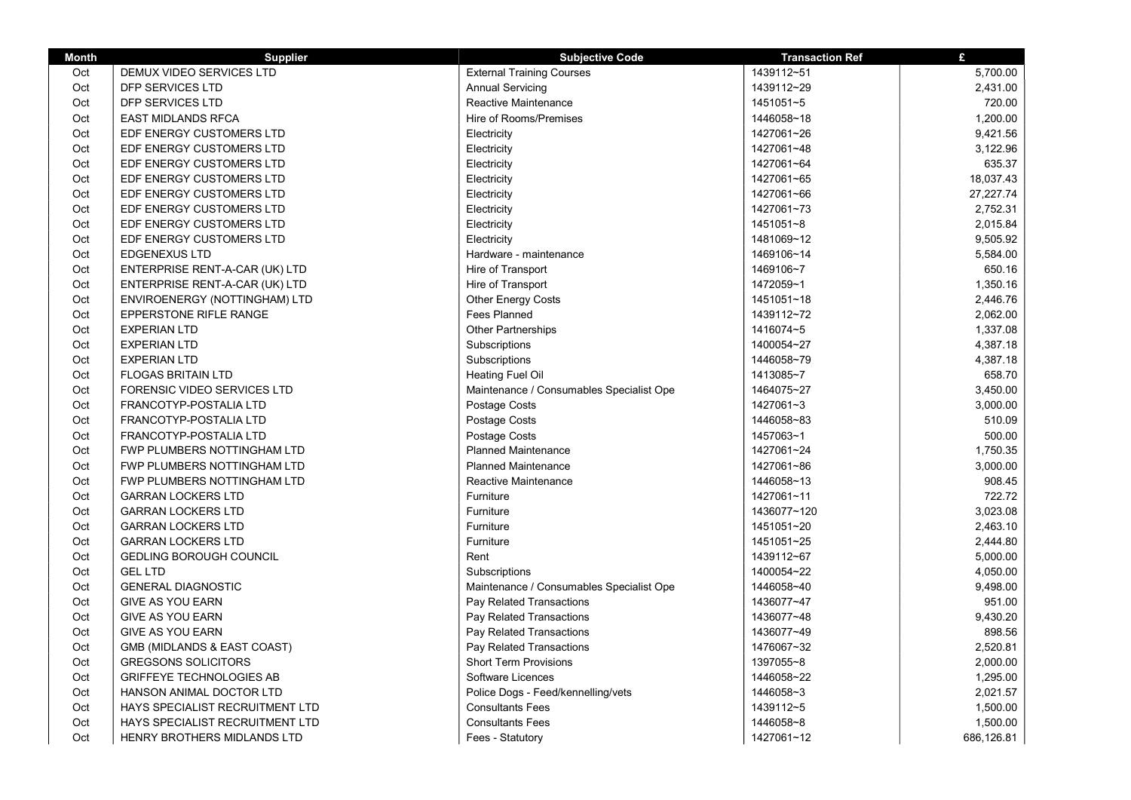| <b>Month</b> | <b>Supplier</b>                 | <b>Subjective Code</b>                   | <b>Transaction Ref</b> | £          |
|--------------|---------------------------------|------------------------------------------|------------------------|------------|
| Oct          | DEMUX VIDEO SERVICES LTD        | <b>External Training Courses</b>         | 1439112~51             | 5,700.00   |
| Oct          | DFP SERVICES LTD                | <b>Annual Servicing</b>                  | 1439112~29             | 2,431.00   |
| Oct          | DFP SERVICES LTD                | Reactive Maintenance                     | 1451051~5              | 720.00     |
| Oct          | <b>EAST MIDLANDS RFCA</b>       | Hire of Rooms/Premises                   | 1446058~18             | 1,200.00   |
| Oct          | EDF ENERGY CUSTOMERS LTD        | Electricity                              | 1427061~26             | 9,421.56   |
| Oct          | EDF ENERGY CUSTOMERS LTD        | Electricity                              | 1427061~48             | 3,122.96   |
| Oct          | EDF ENERGY CUSTOMERS LTD        | Electricity                              | 1427061~64             | 635.37     |
| Oct          | EDF ENERGY CUSTOMERS LTD        | Electricity                              | 1427061~65             | 18,037.43  |
| Oct          | EDF ENERGY CUSTOMERS LTD        | Electricity                              | 1427061~66             | 27,227.74  |
| Oct          | EDF ENERGY CUSTOMERS LTD        | Electricity                              | 1427061~73             | 2,752.31   |
| Oct          | EDF ENERGY CUSTOMERS LTD        | Electricity                              | 1451051~8              | 2,015.84   |
| Oct          | EDF ENERGY CUSTOMERS LTD        | Electricity                              | 1481069~12             | 9.505.92   |
| Oct          | <b>EDGENEXUS LTD</b>            | Hardware - maintenance                   | 1469106~14             | 5,584.00   |
| Oct          | ENTERPRISE RENT-A-CAR (UK) LTD  | Hire of Transport                        | 1469106~7              | 650.16     |
| Oct          | ENTERPRISE RENT-A-CAR (UK) LTD  | Hire of Transport                        | 1472059~1              | 1,350.16   |
| Oct          | ENVIROENERGY (NOTTINGHAM) LTD   | Other Energy Costs                       | 1451051~18             | 2,446.76   |
| Oct          | EPPERSTONE RIFLE RANGE          | Fees Planned                             | 1439112~72             | 2,062.00   |
| Oct          | <b>EXPERIAN LTD</b>             | Other Partnerships                       | 1416074~5              | 1,337.08   |
| Oct          | <b>EXPERIAN LTD</b>             | Subscriptions                            | 1400054~27             | 4,387.18   |
| Oct          | <b>EXPERIAN LTD</b>             | Subscriptions                            | 1446058~79             | 4,387.18   |
| Oct          | <b>FLOGAS BRITAIN LTD</b>       | Heating Fuel Oil                         | 1413085~7              | 658.70     |
| Oct          | FORENSIC VIDEO SERVICES LTD     | Maintenance / Consumables Specialist Ope | 1464075~27             | 3,450.00   |
| Oct          | FRANCOTYP-POSTALIA LTD          | Postage Costs                            | 1427061~3              | 3,000.00   |
| Oct          | FRANCOTYP-POSTALIA LTD          | Postage Costs                            | 1446058~83             | 510.09     |
| Oct          | FRANCOTYP-POSTALIA LTD          | Postage Costs                            | 1457063~1              | 500.00     |
| Oct          | FWP PLUMBERS NOTTINGHAM LTD     | <b>Planned Maintenance</b>               | 1427061~24             | 1,750.35   |
| Oct          | FWP PLUMBERS NOTTINGHAM LTD     | <b>Planned Maintenance</b>               | 1427061~86             | 3,000.00   |
| Oct          | FWP PLUMBERS NOTTINGHAM LTD     | Reactive Maintenance                     | 1446058~13             | 908.45     |
| Oct          | <b>GARRAN LOCKERS LTD</b>       | Furniture                                | 1427061~11             | 722.72     |
| Oct          | <b>GARRAN LOCKERS LTD</b>       | Furniture                                | 1436077~120            | 3,023.08   |
| Oct          | <b>GARRAN LOCKERS LTD</b>       | Furniture                                | 1451051~20             | 2,463.10   |
| Oct          | <b>GARRAN LOCKERS LTD</b>       | Furniture                                | 1451051~25             | 2,444.80   |
| Oct          | <b>GEDLING BOROUGH COUNCIL</b>  | Rent                                     | 1439112~67             | 5,000.00   |
| Oct          | <b>GEL LTD</b>                  | Subscriptions                            | 1400054~22             | 4,050.00   |
| Oct          | <b>GENERAL DIAGNOSTIC</b>       | Maintenance / Consumables Specialist Ope | 1446058~40             | 9,498.00   |
| Oct          | <b>GIVE AS YOU EARN</b>         | Pay Related Transactions                 | 1436077~47             | 951.00     |
| Oct          | <b>GIVE AS YOU EARN</b>         | Pay Related Transactions                 | 1436077~48             | 9,430.20   |
| Oct          | <b>GIVE AS YOU EARN</b>         | Pay Related Transactions                 | 1436077~49             | 898.56     |
| Oct          | GMB (MIDLANDS & EAST COAST)     | Pay Related Transactions                 | 1476067~32             | 2,520.81   |
| Oct          | <b>GREGSONS SOLICITORS</b>      | <b>Short Term Provisions</b>             | 1397055~8              | 2,000.00   |
| Oct          | <b>GRIFFEYE TECHNOLOGIES AB</b> | Software Licences                        | 1446058~22             | 1,295.00   |
| Oct          | HANSON ANIMAL DOCTOR LTD        | Police Dogs - Feed/kennelling/vets       | 1446058~3              | 2,021.57   |
| Oct          | HAYS SPECIALIST RECRUITMENT LTD | <b>Consultants Fees</b>                  | 1439112~5              | 1,500.00   |
| Oct          | HAYS SPECIALIST RECRUITMENT LTD | <b>Consultants Fees</b>                  | 1446058~8              | 1,500.00   |
| Oct          | HENRY BROTHERS MIDLANDS LTD     | Fees - Statutory                         | 1427061~12             | 686,126.81 |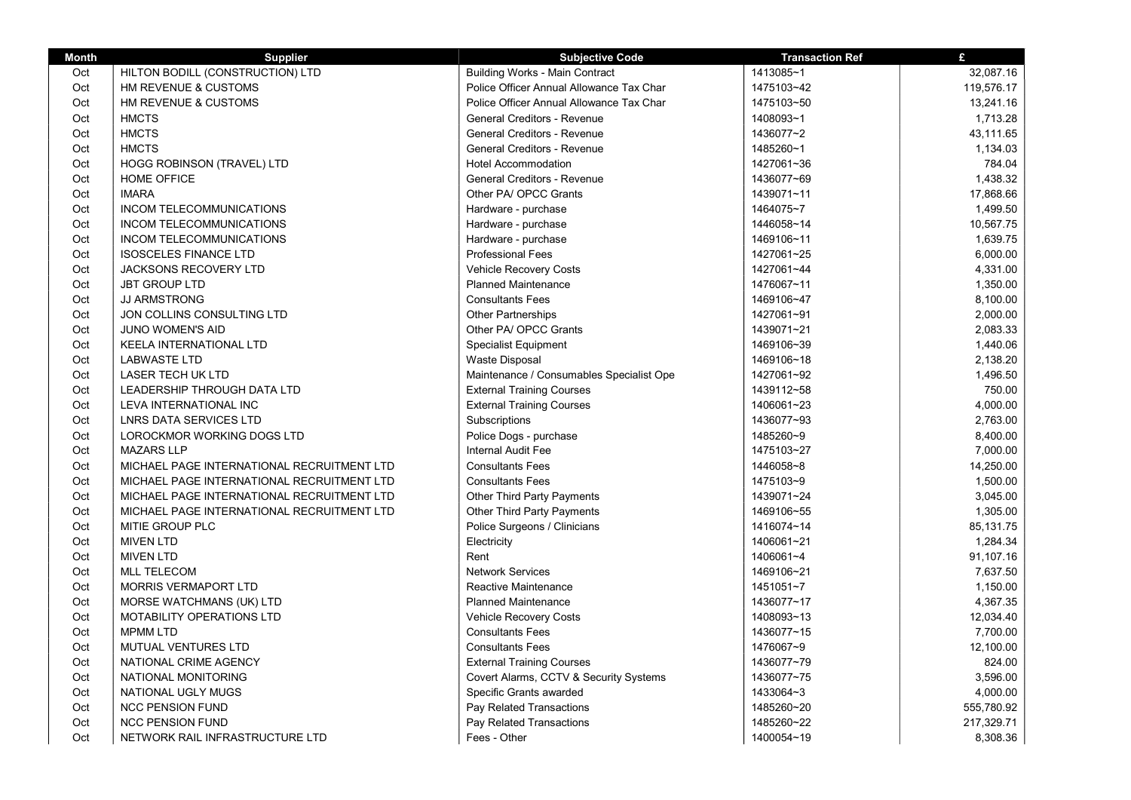| <b>Month</b> | <b>Supplier</b>                            | <b>Subjective Code</b>                   | <b>Transaction Ref</b> | £          |
|--------------|--------------------------------------------|------------------------------------------|------------------------|------------|
| Oct          | HILTON BODILL (CONSTRUCTION) LTD           | <b>Building Works - Main Contract</b>    | 1413085~1              | 32,087.16  |
| Oct          | HM REVENUE & CUSTOMS                       | Police Officer Annual Allowance Tax Char | 1475103~42             | 119,576.17 |
| Oct          | HM REVENUE & CUSTOMS                       | Police Officer Annual Allowance Tax Char | 1475103~50             | 13,241.16  |
| Oct          | <b>HMCTS</b>                               | General Creditors - Revenue              | 1408093~1              | 1,713.28   |
| Oct          | <b>HMCTS</b>                               | General Creditors - Revenue              | 1436077~2              | 43,111.65  |
| Oct          | <b>HMCTS</b>                               | General Creditors - Revenue              | 1485260~1              | 1,134.03   |
| Oct          | HOGG ROBINSON (TRAVEL) LTD                 | <b>Hotel Accommodation</b>               | 1427061~36             | 784.04     |
| Oct          | <b>HOME OFFICE</b>                         | General Creditors - Revenue              | 1436077~69             | 1,438.32   |
| Oct          | <b>IMARA</b>                               | Other PA/ OPCC Grants                    | 1439071~11             | 17,868.66  |
| Oct          | INCOM TELECOMMUNICATIONS                   | Hardware - purchase                      | 1464075~7              | 1,499.50   |
| Oct          | INCOM TELECOMMUNICATIONS                   | Hardware - purchase                      | 1446058~14             | 10,567.75  |
| Oct          | <b>INCOM TELECOMMUNICATIONS</b>            | Hardware - purchase                      | 1469106~11             | 1.639.75   |
| Oct          | <b>ISOSCELES FINANCE LTD</b>               | <b>Professional Fees</b>                 | 1427061~25             | 6,000.00   |
| Oct          | <b>JACKSONS RECOVERY LTD</b>               | Vehicle Recovery Costs                   | 1427061~44             | 4,331.00   |
| Oct          | <b>JBT GROUP LTD</b>                       | <b>Planned Maintenance</b>               | 1476067~11             | 1,350.00   |
| Oct          | <b>JJ ARMSTRONG</b>                        | <b>Consultants Fees</b>                  | 1469106~47             | 8,100.00   |
| Oct          | JON COLLINS CONSULTING LTD                 | Other Partnerships                       | 1427061~91             | 2,000.00   |
| Oct          | <b>JUNO WOMEN'S AID</b>                    | Other PA/ OPCC Grants                    | 1439071~21             | 2,083.33   |
| Oct          | KEELA INTERNATIONAL LTD                    | <b>Specialist Equipment</b>              | 1469106~39             | 1,440.06   |
| Oct          | <b>LABWASTE LTD</b>                        | Waste Disposal                           | 1469106~18             | 2,138.20   |
| Oct          | LASER TECH UK LTD                          | Maintenance / Consumables Specialist Ope | 1427061~92             | 1,496.50   |
| Oct          | LEADERSHIP THROUGH DATA LTD                | <b>External Training Courses</b>         | 1439112~58             | 750.00     |
| Oct          | LEVA INTERNATIONAL INC                     | <b>External Training Courses</b>         | 1406061~23             | 4,000.00   |
| Oct          | LNRS DATA SERVICES LTD                     | Subscriptions                            | 1436077~93             | 2,763.00   |
| Oct          | LOROCKMOR WORKING DOGS LTD                 | Police Dogs - purchase                   | 1485260~9              | 8,400.00   |
| Oct          | <b>MAZARS LLP</b>                          | <b>Internal Audit Fee</b>                | 1475103~27             | 7,000.00   |
| Oct          | MICHAEL PAGE INTERNATIONAL RECRUITMENT LTD | <b>Consultants Fees</b>                  | 1446058~8              | 14,250.00  |
| Oct          | MICHAEL PAGE INTERNATIONAL RECRUITMENT LTD | <b>Consultants Fees</b>                  | 1475103~9              | 1,500.00   |
| Oct          | MICHAEL PAGE INTERNATIONAL RECRUITMENT LTD | Other Third Party Payments               | 1439071~24             | 3,045.00   |
| Oct          | MICHAEL PAGE INTERNATIONAL RECRUITMENT LTD | Other Third Party Payments               | 1469106~55             | 1,305.00   |
| Oct          | MITIE GROUP PLC                            | Police Surgeons / Clinicians             | 1416074~14             | 85,131.75  |
| Oct          | <b>MIVEN LTD</b>                           | Electricity                              | 1406061~21             | 1,284.34   |
| Oct          | <b>MIVEN LTD</b>                           | Rent                                     | 1406061~4              | 91,107.16  |
| Oct          | <b>MLL TELECOM</b>                         | <b>Network Services</b>                  | 1469106~21             | 7,637.50   |
| Oct          | <b>MORRIS VERMAPORT LTD</b>                | Reactive Maintenance                     | 1451051~7              | 1,150.00   |
| Oct          | MORSE WATCHMANS (UK) LTD                   | <b>Planned Maintenance</b>               | 1436077~17             | 4,367.35   |
| Oct          | <b>MOTABILITY OPERATIONS LTD</b>           | <b>Vehicle Recovery Costs</b>            | 1408093~13             | 12,034.40  |
| Oct          | <b>MPMM LTD</b>                            | <b>Consultants Fees</b>                  | 1436077~15             | 7,700.00   |
| Oct          | <b>MUTUAL VENTURES LTD</b>                 | <b>Consultants Fees</b>                  | 1476067~9              | 12,100.00  |
| Oct          | NATIONAL CRIME AGENCY                      | <b>External Training Courses</b>         | 1436077~79             | 824.00     |
| Oct          | NATIONAL MONITORING                        | Covert Alarms, CCTV & Security Systems   | 1436077~75             | 3,596.00   |
| Oct          | NATIONAL UGLY MUGS                         | Specific Grants awarded                  | 1433064~3              | 4,000.00   |
| Oct          | <b>NCC PENSION FUND</b>                    | Pay Related Transactions                 | 1485260~20             | 555,780.92 |
| Oct          | <b>NCC PENSION FUND</b>                    | Pay Related Transactions                 | 1485260~22             | 217,329.71 |
| Oct          | NETWORK RAIL INFRASTRUCTURE LTD            | Fees - Other                             | 1400054~19             | 8,308.36   |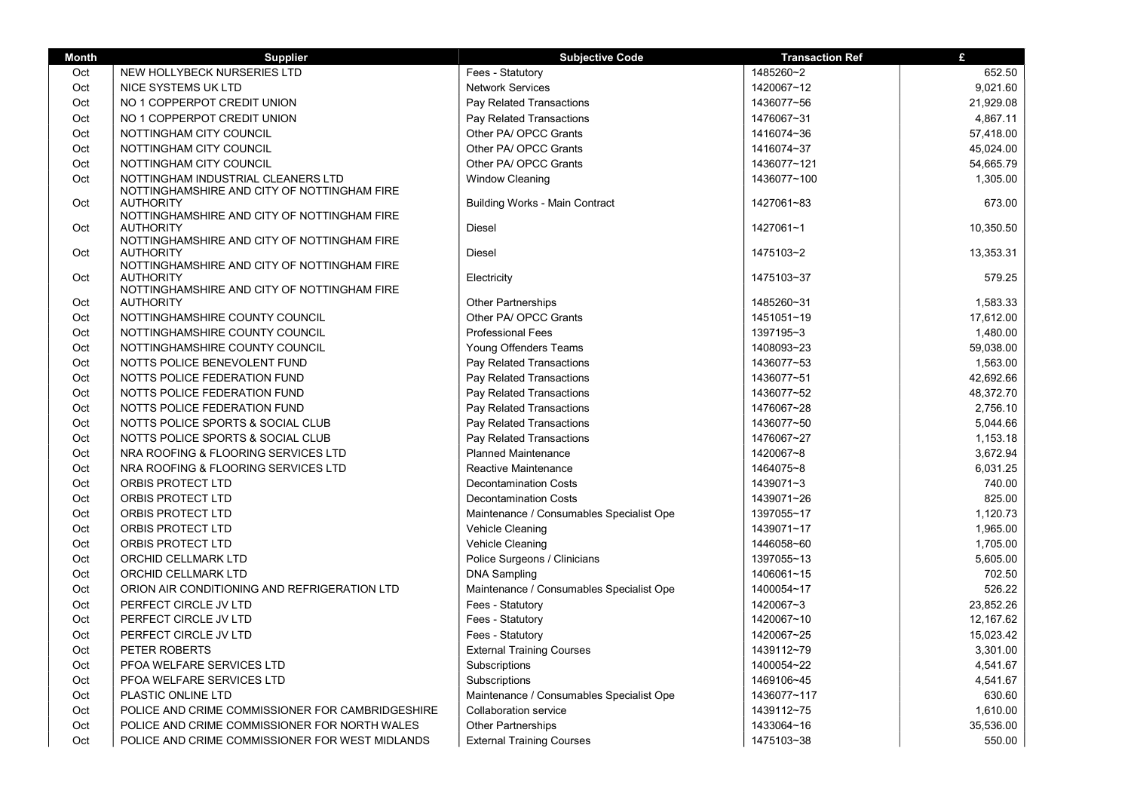| <b>Month</b> | <b>Supplier</b>                                                                   | <b>Subjective Code</b>                   | <b>Transaction Ref</b> | £         |
|--------------|-----------------------------------------------------------------------------------|------------------------------------------|------------------------|-----------|
| Oct          | NEW HOLLYBECK NURSERIES LTD                                                       | Fees - Statutory                         | 1485260~2              | 652.50    |
| Oct          | NICE SYSTEMS UK LTD                                                               | <b>Network Services</b>                  | 1420067~12             | 9,021.60  |
| Oct          | NO 1 COPPERPOT CREDIT UNION                                                       | Pay Related Transactions                 | 1436077~56             | 21,929.08 |
| Oct          | NO 1 COPPERPOT CREDIT UNION                                                       | Pay Related Transactions                 | 1476067~31             | 4,867.11  |
| Oct          | NOTTINGHAM CITY COUNCIL                                                           | Other PA/ OPCC Grants                    | 1416074~36             | 57,418.00 |
| Oct          | NOTTINGHAM CITY COUNCIL                                                           | Other PA/ OPCC Grants                    | 1416074~37             | 45,024.00 |
| Oct          | NOTTINGHAM CITY COUNCIL                                                           | Other PA/ OPCC Grants                    | 1436077~121            | 54,665.79 |
| Oct          | NOTTINGHAM INDUSTRIAL CLEANERS LTD<br>NOTTINGHAMSHIRE AND CITY OF NOTTINGHAM FIRE | <b>Window Cleaning</b>                   | 1436077~100            | 1,305.00  |
| Oct          | <b>AUTHORITY</b><br>NOTTINGHAMSHIRE AND CITY OF NOTTINGHAM FIRE                   | <b>Building Works - Main Contract</b>    | 1427061~83             | 673.00    |
| Oct          | <b>AUTHORITY</b><br>NOTTINGHAMSHIRE AND CITY OF NOTTINGHAM FIRE                   | Diesel                                   | 1427061~1              | 10,350.50 |
| Oct          | <b>AUTHORITY</b><br>NOTTINGHAMSHIRE AND CITY OF NOTTINGHAM FIRE                   | Diesel                                   | 1475103~2              | 13,353.31 |
| Oct          | <b>AUTHORITY</b><br>NOTTINGHAMSHIRE AND CITY OF NOTTINGHAM FIRE                   | Electricity                              | 1475103~37             | 579.25    |
| Oct          | <b>AUTHORITY</b>                                                                  | Other Partnerships                       | 1485260~31             | 1,583.33  |
| Oct          | NOTTINGHAMSHIRE COUNTY COUNCIL                                                    | Other PA/ OPCC Grants                    | 1451051~19             | 17,612.00 |
| Oct          | NOTTINGHAMSHIRE COUNTY COUNCIL                                                    | <b>Professional Fees</b>                 | 1397195~3              | 1,480.00  |
| Oct          | NOTTINGHAMSHIRE COUNTY COUNCIL                                                    | Young Offenders Teams                    | 1408093~23             | 59,038.00 |
| Oct          | NOTTS POLICE BENEVOLENT FUND                                                      | Pay Related Transactions                 | 1436077~53             | 1,563.00  |
| Oct          | NOTTS POLICE FEDERATION FUND                                                      | Pay Related Transactions                 | 1436077~51             | 42,692.66 |
| Oct          | NOTTS POLICE FEDERATION FUND                                                      | Pay Related Transactions                 | 1436077~52             | 48,372.70 |
| Oct          | NOTTS POLICE FEDERATION FUND                                                      | Pay Related Transactions                 | 1476067~28             | 2,756.10  |
| Oct          | NOTTS POLICE SPORTS & SOCIAL CLUB                                                 | Pay Related Transactions                 | 1436077~50             | 5,044.66  |
| Oct          | NOTTS POLICE SPORTS & SOCIAL CLUB                                                 | Pay Related Transactions                 | 1476067~27             | 1,153.18  |
| Oct          | NRA ROOFING & FLOORING SERVICES LTD                                               | <b>Planned Maintenance</b>               | 1420067~8              | 3,672.94  |
| Oct          | NRA ROOFING & FLOORING SERVICES LTD                                               | Reactive Maintenance                     | 1464075~8              | 6,031.25  |
| Oct          | ORBIS PROTECT LTD                                                                 | <b>Decontamination Costs</b>             | 1439071~3              | 740.00    |
| Oct          | ORBIS PROTECT LTD                                                                 | <b>Decontamination Costs</b>             | 1439071~26             | 825.00    |
| Oct          | ORBIS PROTECT LTD                                                                 | Maintenance / Consumables Specialist Ope | 1397055~17             | 1,120.73  |
| Oct          | ORBIS PROTECT LTD                                                                 | Vehicle Cleaning                         | 1439071~17             | 1,965.00  |
| Oct          | ORBIS PROTECT LTD                                                                 | Vehicle Cleaning                         | 1446058~60             | 1,705.00  |
| Oct          | ORCHID CELLMARK LTD                                                               | Police Surgeons / Clinicians             | 1397055~13             | 5,605.00  |
| Oct          | ORCHID CELLMARK LTD                                                               | <b>DNA Sampling</b>                      | 1406061~15             | 702.50    |
| Oct          | ORION AIR CONDITIONING AND REFRIGERATION LTD                                      | Maintenance / Consumables Specialist Ope | 1400054~17             | 526.22    |
| Oct          | PERFECT CIRCLE JV LTD                                                             | Fees - Statutory                         | 1420067~3              | 23,852.26 |
| Oct          | PERFECT CIRCLE JV LTD                                                             | Fees - Statutory                         | 1420067~10             | 12,167.62 |
| Oct          | PERFECT CIRCLE JV LTD                                                             | Fees - Statutory                         | 1420067~25             | 15,023.42 |
| Oct          | PETER ROBERTS                                                                     | <b>External Training Courses</b>         | 1439112~79             | 3,301.00  |
| Oct          | PFOA WELFARE SERVICES LTD                                                         | Subscriptions                            | 1400054~22             | 4,541.67  |
| Oct          | PFOA WELFARE SERVICES LTD                                                         | Subscriptions                            | 1469106~45             | 4,541.67  |
| Oct          | <b>PLASTIC ONLINE LTD</b>                                                         | Maintenance / Consumables Specialist Ope | 1436077~117            | 630.60    |
| Oct          | POLICE AND CRIME COMMISSIONER FOR CAMBRIDGESHIRE                                  | Collaboration service                    | 1439112~75             | 1,610.00  |
| Oct          | POLICE AND CRIME COMMISSIONER FOR NORTH WALES                                     | Other Partnerships                       | 1433064~16             | 35,536.00 |
| Oct          | POLICE AND CRIME COMMISSIONER FOR WEST MIDLANDS                                   | <b>External Training Courses</b>         | 1475103~38             | 550.00    |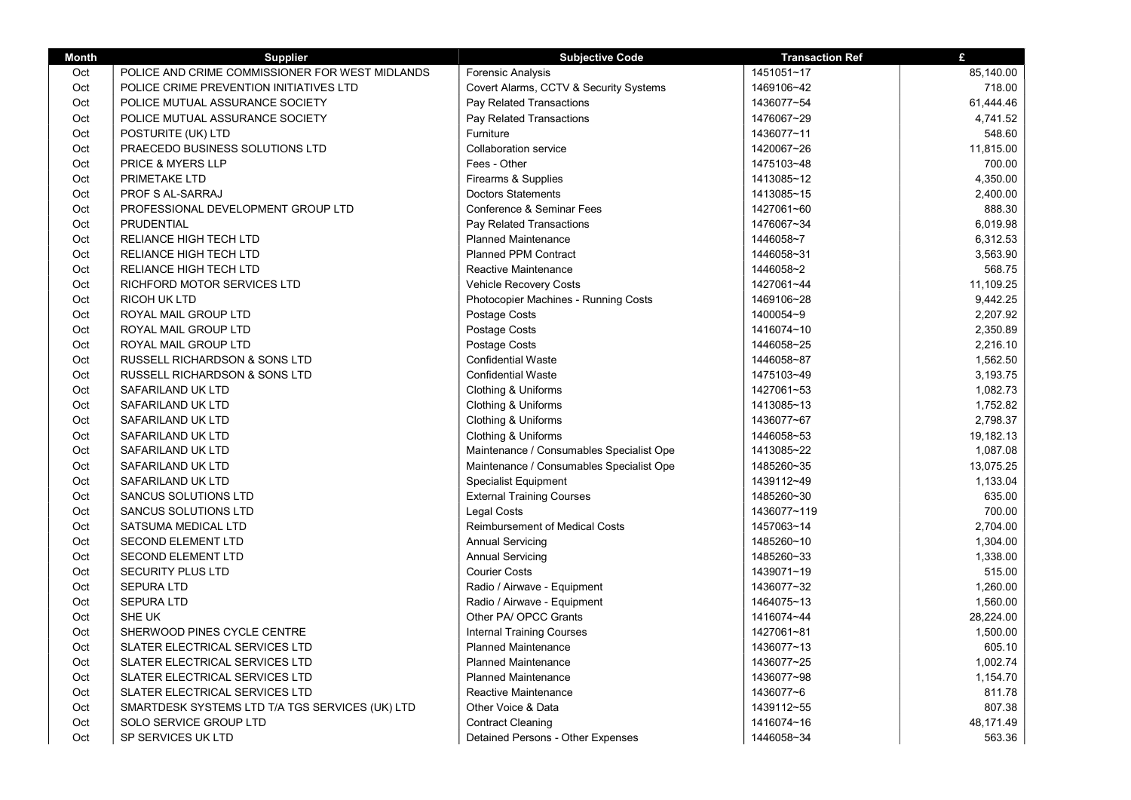| <b>Month</b> | <b>Supplier</b>                                 | <b>Subjective Code</b>                   | <b>Transaction Ref</b> | £         |
|--------------|-------------------------------------------------|------------------------------------------|------------------------|-----------|
| Oct          | POLICE AND CRIME COMMISSIONER FOR WEST MIDLANDS | Forensic Analysis                        | 1451051~17             | 85,140.00 |
| Oct          | POLICE CRIME PREVENTION INITIATIVES LTD         | Covert Alarms, CCTV & Security Systems   | 1469106~42             | 718.00    |
| Oct          | POLICE MUTUAL ASSURANCE SOCIETY                 | Pay Related Transactions                 | 1436077~54             | 61,444.46 |
| Oct          | POLICE MUTUAL ASSURANCE SOCIETY                 | Pay Related Transactions                 | 1476067~29             | 4,741.52  |
| Oct          | POSTURITE (UK) LTD                              | Furniture                                | 1436077~11             | 548.60    |
| Oct          | PRAECEDO BUSINESS SOLUTIONS LTD                 | <b>Collaboration service</b>             | 1420067~26             | 11,815.00 |
| Oct          | <b>PRICE &amp; MYERS LLP</b>                    | Fees - Other                             | 1475103~48             | 700.00    |
| Oct          | <b>PRIMETAKE LTD</b>                            | Firearms & Supplies                      | 1413085~12             | 4,350.00  |
| Oct          | PROF S AL-SARRAJ                                | <b>Doctors Statements</b>                | 1413085~15             | 2,400.00  |
| Oct          | PROFESSIONAL DEVELOPMENT GROUP LTD              | Conference & Seminar Fees                | 1427061~60             | 888.30    |
| Oct          | PRUDENTIAL                                      | Pay Related Transactions                 | 1476067~34             | 6,019.98  |
| Oct          | RELIANCE HIGH TECH LTD                          | <b>Planned Maintenance</b>               | 1446058~7              | 6,312.53  |
| Oct          | RELIANCE HIGH TECH LTD                          | <b>Planned PPM Contract</b>              | 1446058~31             | 3,563.90  |
| Oct          | <b>RELIANCE HIGH TECH LTD</b>                   | Reactive Maintenance                     | 1446058~2              | 568.75    |
| Oct          | RICHFORD MOTOR SERVICES LTD                     | <b>Vehicle Recovery Costs</b>            | 1427061~44             | 11,109.25 |
| Oct          | <b>RICOH UK LTD</b>                             | Photocopier Machines - Running Costs     | 1469106~28             | 9,442.25  |
| Oct          | ROYAL MAIL GROUP LTD                            | Postage Costs                            | 1400054~9              | 2,207.92  |
| Oct          | ROYAL MAIL GROUP LTD                            | Postage Costs                            | 1416074~10             | 2,350.89  |
| Oct          | ROYAL MAIL GROUP LTD                            | Postage Costs                            | 1446058~25             | 2,216.10  |
| Oct          | <b>RUSSELL RICHARDSON &amp; SONS LTD</b>        | <b>Confidential Waste</b>                | 1446058~87             | 1,562.50  |
| Oct          | <b>RUSSELL RICHARDSON &amp; SONS LTD</b>        | <b>Confidential Waste</b>                | 1475103~49             | 3,193.75  |
| Oct          | SAFARILAND UK LTD                               | Clothing & Uniforms                      | 1427061~53             | 1,082.73  |
| Oct          | SAFARILAND UK LTD                               | Clothing & Uniforms                      | 1413085~13             | 1,752.82  |
| Oct          | SAFARILAND UK LTD                               | Clothing & Uniforms                      | 1436077~67             | 2,798.37  |
| Oct          | SAFARILAND UK LTD                               | Clothing & Uniforms                      | 1446058~53             | 19,182.13 |
| Oct          | SAFARILAND UK LTD                               | Maintenance / Consumables Specialist Ope | 1413085~22             | 1,087.08  |
| Oct          | SAFARILAND UK LTD                               | Maintenance / Consumables Specialist Ope | 1485260~35             | 13,075.25 |
| Oct          | SAFARILAND UK LTD                               | <b>Specialist Equipment</b>              | 1439112~49             | 1,133.04  |
| Oct          | SANCUS SOLUTIONS LTD                            | <b>External Training Courses</b>         | 1485260~30             | 635.00    |
| Oct          | SANCUS SOLUTIONS LTD                            | Legal Costs                              | 1436077~119            | 700.00    |
| Oct          | SATSUMA MEDICAL LTD                             | <b>Reimbursement of Medical Costs</b>    | 1457063~14             | 2,704.00  |
| Oct          | <b>SECOND ELEMENT LTD</b>                       | <b>Annual Servicing</b>                  | 1485260~10             | 1,304.00  |
| Oct          | <b>SECOND ELEMENT LTD</b>                       | <b>Annual Servicing</b>                  | 1485260~33             | 1,338.00  |
| Oct          | <b>SECURITY PLUS LTD</b>                        | <b>Courier Costs</b>                     | 1439071~19             | 515.00    |
| Oct          | <b>SEPURA LTD</b>                               | Radio / Airwave - Equipment              | 1436077~32             | 1,260.00  |
| Oct          | <b>SEPURA LTD</b>                               | Radio / Airwave - Equipment              | 1464075~13             | 1,560.00  |
| Oct          | SHE UK                                          | Other PA/ OPCC Grants                    | 1416074~44             | 28,224.00 |
| Oct          | SHERWOOD PINES CYCLE CENTRE                     | <b>Internal Training Courses</b>         | 1427061~81             | 1,500.00  |
| Oct          | SLATER ELECTRICAL SERVICES LTD                  | <b>Planned Maintenance</b>               | 1436077~13             | 605.10    |
| Oct          | SLATER ELECTRICAL SERVICES LTD                  | <b>Planned Maintenance</b>               | 1436077~25             | 1,002.74  |
| Oct          | SLATER ELECTRICAL SERVICES LTD                  | <b>Planned Maintenance</b>               | 1436077~98             | 1,154.70  |
| Oct          | SLATER ELECTRICAL SERVICES LTD                  | Reactive Maintenance                     | 1436077~6              | 811.78    |
| Oct          | SMARTDESK SYSTEMS LTD T/A TGS SERVICES (UK) LTD | Other Voice & Data                       | 1439112~55             | 807.38    |
| Oct          | SOLO SERVICE GROUP LTD                          | <b>Contract Cleaning</b>                 | 1416074~16             | 48,171.49 |
| Oct          | SP SERVICES UK LTD                              | Detained Persons - Other Expenses        | 1446058~34             | 563.36    |

т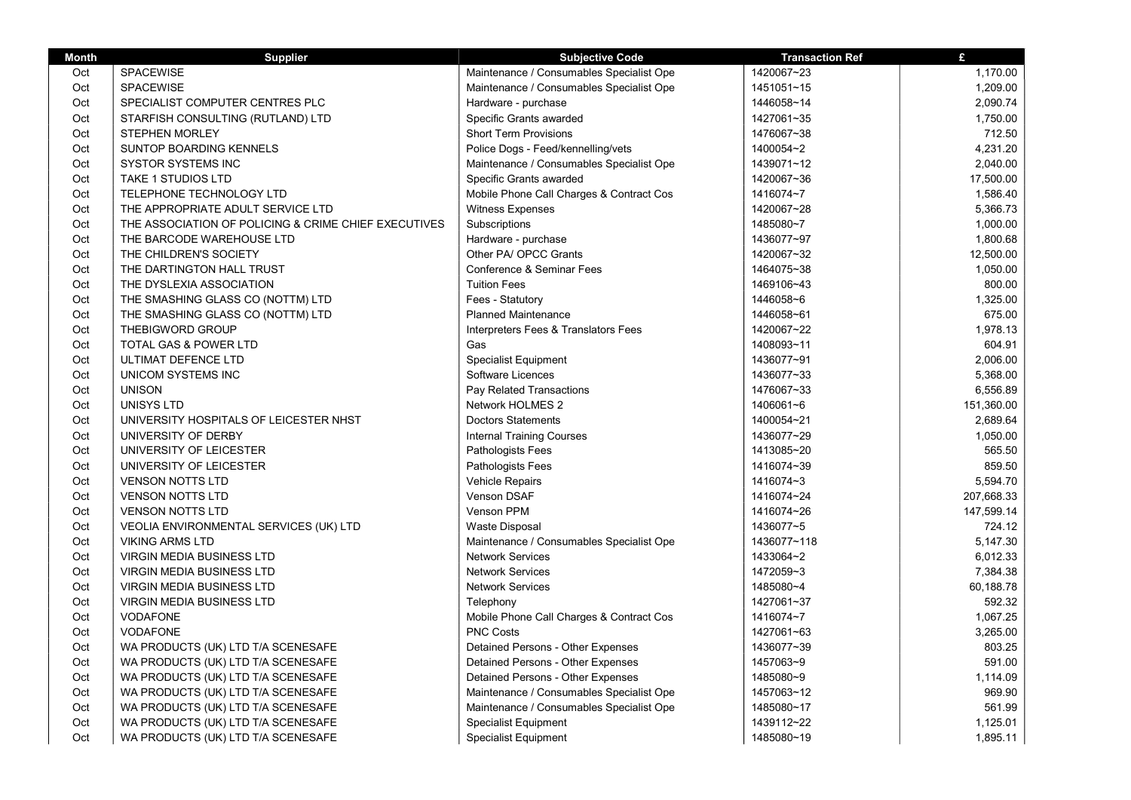| <b>Month</b> | <b>Supplier</b>                                      | <b>Subjective Code</b>                   | <b>Transaction Ref</b> | $\mathbf{f}$ |
|--------------|------------------------------------------------------|------------------------------------------|------------------------|--------------|
| Oct          | SPACEWISE                                            | Maintenance / Consumables Specialist Ope | 1420067~23             | 1,170.00     |
| Oct          | SPACEWISE                                            | Maintenance / Consumables Specialist Ope | 1451051~15             | 1,209.00     |
| Oct          | SPECIALIST COMPUTER CENTRES PLC                      | Hardware - purchase                      | 1446058~14             | 2,090.74     |
| Oct          | STARFISH CONSULTING (RUTLAND) LTD                    | Specific Grants awarded                  | 1427061~35             | 1,750.00     |
| Oct          | <b>STEPHEN MORLEY</b>                                | <b>Short Term Provisions</b>             | 1476067~38             | 712.50       |
| Oct          | SUNTOP BOARDING KENNELS                              | Police Dogs - Feed/kennelling/vets       | 1400054~2              | 4,231.20     |
| Oct          | <b>SYSTOR SYSTEMS INC</b>                            | Maintenance / Consumables Specialist Ope | 1439071~12             | 2,040.00     |
| Oct          | <b>TAKE 1 STUDIOS LTD</b>                            | Specific Grants awarded                  | 1420067~36             | 17,500.00    |
| Oct          | TELEPHONE TECHNOLOGY LTD                             | Mobile Phone Call Charges & Contract Cos | 1416074~7              | 1,586.40     |
| Oct          | THE APPROPRIATE ADULT SERVICE LTD                    | Witness Expenses                         | 1420067~28             | 5,366.73     |
| Oct          | THE ASSOCIATION OF POLICING & CRIME CHIEF EXECUTIVES | Subscriptions                            | 1485080~7              | 1,000.00     |
| Oct          | THE BARCODE WAREHOUSE LTD                            | Hardware - purchase                      | 1436077~97             | 1,800.68     |
| Oct          | THE CHILDREN'S SOCIETY                               | Other PA/ OPCC Grants                    | 1420067~32             | 12,500.00    |
| Oct          | THE DARTINGTON HALL TRUST                            | Conference & Seminar Fees                | 1464075~38             | 1,050.00     |
| Oct          | THE DYSLEXIA ASSOCIATION                             | <b>Tuition Fees</b>                      | 1469106~43             | 800.00       |
| Oct          | THE SMASHING GLASS CO (NOTTM) LTD                    | Fees - Statutory                         | 1446058~6              | 1,325.00     |
| Oct          | THE SMASHING GLASS CO (NOTTM) LTD                    | <b>Planned Maintenance</b>               | 1446058~61             | 675.00       |
| Oct          | <b>THEBIGWORD GROUP</b>                              | Interpreters Fees & Translators Fees     | 1420067~22             | 1,978.13     |
| Oct          | <b>TOTAL GAS &amp; POWER LTD</b>                     | Gas                                      | 1408093~11             | 604.91       |
| Oct          | ULTIMAT DEFENCE LTD                                  | <b>Specialist Equipment</b>              | 1436077~91             | 2,006.00     |
| Oct          | UNICOM SYSTEMS INC                                   | Software Licences                        | 1436077~33             | 5,368.00     |
| Oct          | <b>UNISON</b>                                        | Pay Related Transactions                 | 1476067~33             | 6,556.89     |
| Oct          | <b>UNISYS LTD</b>                                    | Network HOLMES 2                         | 1406061~6              | 151,360.00   |
| Oct          | UNIVERSITY HOSPITALS OF LEICESTER NHST               | <b>Doctors Statements</b>                | 1400054~21             | 2,689.64     |
| Oct          | UNIVERSITY OF DERBY                                  | <b>Internal Training Courses</b>         | 1436077~29             | 1,050.00     |
| Oct          | UNIVERSITY OF LEICESTER                              | Pathologists Fees                        | 1413085~20             | 565.50       |
| Oct          | UNIVERSITY OF LEICESTER                              | Pathologists Fees                        | 1416074~39             | 859.50       |
| Oct          | <b>VENSON NOTTS LTD</b>                              | <b>Vehicle Repairs</b>                   | 1416074~3              | 5,594.70     |
| Oct          | <b>VENSON NOTTS LTD</b>                              | Venson DSAF                              | 1416074~24             | 207,668.33   |
| Oct          | <b>VENSON NOTTS LTD</b>                              | <b>Venson PPM</b>                        | 1416074~26             | 147,599.14   |
| Oct          | VEOLIA ENVIRONMENTAL SERVICES (UK) LTD               | <b>Waste Disposal</b>                    | 1436077~5              | 724.12       |
| Oct          | <b>VIKING ARMS LTD</b>                               | Maintenance / Consumables Specialist Ope | 1436077~118            | 5,147.30     |
| Oct          | <b>VIRGIN MEDIA BUSINESS LTD</b>                     | <b>Network Services</b>                  | 1433064~2              | 6,012.33     |
| Oct          | <b>VIRGIN MEDIA BUSINESS LTD</b>                     | <b>Network Services</b>                  | 1472059~3              | 7,384.38     |
| Oct          | <b>VIRGIN MEDIA BUSINESS LTD</b>                     | <b>Network Services</b>                  | 1485080~4              | 60,188.78    |
| Oct          | VIRGIN MEDIA BUSINESS LTD                            | Telephony                                | 1427061~37             | 592.32       |
| Oct          | <b>VODAFONE</b>                                      | Mobile Phone Call Charges & Contract Cos | 1416074~7              | 1,067.25     |
| Oct          | <b>VODAFONE</b>                                      | <b>PNC Costs</b>                         | 1427061~63             | 3,265.00     |
| Oct          | WA PRODUCTS (UK) LTD T/A SCENESAFE                   | Detained Persons - Other Expenses        | 1436077~39             | 803.25       |
| Oct          | WA PRODUCTS (UK) LTD T/A SCENESAFE                   | Detained Persons - Other Expenses        | 1457063~9              | 591.00       |
| Oct          | WA PRODUCTS (UK) LTD T/A SCENESAFE                   | Detained Persons - Other Expenses        | 1485080~9              | 1,114.09     |
| Oct          | WA PRODUCTS (UK) LTD T/A SCENESAFE                   | Maintenance / Consumables Specialist Ope | 1457063~12             | 969.90       |
| Oct          | WA PRODUCTS (UK) LTD T/A SCENESAFE                   | Maintenance / Consumables Specialist Ope | 1485080~17             | 561.99       |
| Oct          | WA PRODUCTS (UK) LTD T/A SCENESAFE                   | <b>Specialist Equipment</b>              | 1439112~22             | 1,125.01     |
| Oct          | WA PRODUCTS (UK) LTD T/A SCENESAFE                   | <b>Specialist Equipment</b>              | 1485080~19             | 1,895.11     |